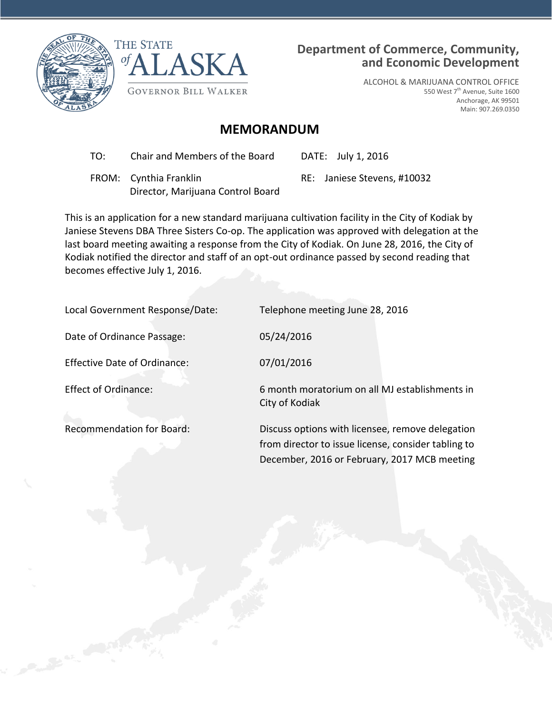



# **Department of Commerce, Community, and Economic Development**

ALCOHOL & MARIJUANA CONTROL OFFICE 550 West 7<sup>th</sup> Avenue, Suite 1600 Anchorage, AK 99501 Main: 907.269.0350

# **MEMORANDUM**

TO: Chair and Members of the Board DATE: July 1, 2016

 FROM: Cynthia Franklin Director, Marijuana Control Board RE: Janiese Stevens, #10032

This is an application for a new standard marijuana cultivation facility in the City of Kodiak by Janiese Stevens DBA Three Sisters Co-op. The application was approved with delegation at the last board meeting awaiting a response from the City of Kodiak. On June 28, 2016, the City of Kodiak notified the director and staff of an opt-out ordinance passed by second reading that becomes effective July 1, 2016.

City of Kodiak

Local Government Response/Date: Telephone meeting June 28, 2016

Date of Ordinance Passage: 05/24/2016

Effective Date of Ordinance: 07/01/2016

Effect of Ordinance: 6 month moratorium on all MJ establishments in

Recommendation for Board: Discuss options with licensee, remove delegation from director to issue license, consider tabling to December, 2016 or February, 2017 MCB meeting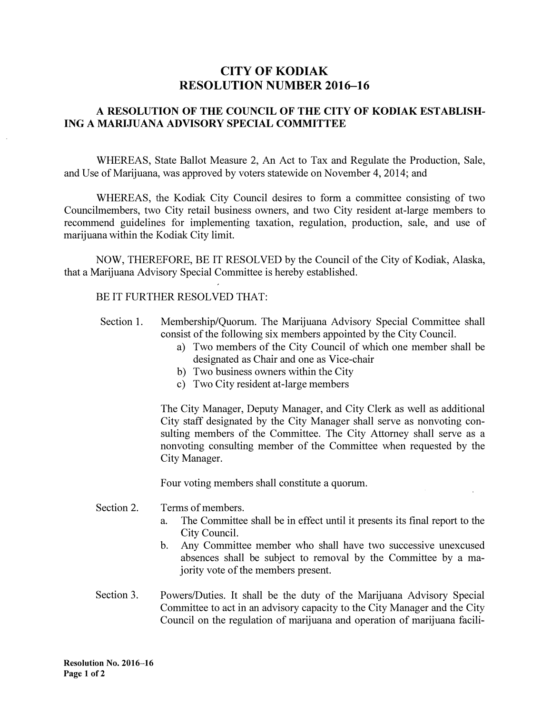# **CITY OF KODIAK RESOLUTION NUMBER 2016-16**

## **A RESOLUTION OF THE COUNCIL OF THE CITY OF KODIAK ESTABLISH-ING A MARIJUANA ADVISORY SPECIAL COMMITTEE**

WHEREAS, State Ballot Measure 2, An Act to Tax and Regulate the Production, Sale, and Use of Marijuana, was approved by voters statewide on November 4, 2014; and

WHEREAS, the Kodiak City Council desires to form a committee consisting of two Councilmembers, two City retail business owners, and two City resident at-large members to recommend guidelines for implementing taxation, regulation, production, sale, and use of marijuana within the Kodiak City limit.

NOW, THEREFORE, BE IT RESOLVED by the Council of the City of Kodiak, Alaska, that a Marijuana Advisory Special Committee is hereby established.

### BE IT FURTHER RESOLVED THAT:

- Section 1. Membership/Quorum. The Marijuana Advisory Special Committee shall consist of the following six members appointed by the City Council.
	- a) Two members of the City Council of which one member shall be designated as Chair and one as Vice-chair
	- b) Two business owners within the City
	- c) Two City resident at-large members

The City Manager, Deputy Manager, and City Clerk as well as additional City staff designated by the City Manager shall serve as nonvoting consulting members of the Committee. The City Attorney shall serve as a nonvoting consulting member of the Committee when requested by the City Manager.

Four voting members shall constitute a quorum.

- Section 2. Terms of members.
	- a. The Committee shall be in effect until it presents its final report to the City Council.
	- b. Any Committee member who shall have two successive unexcused absences shall be subject to removal by the Committee by a majority vote of the members present.
- Section 3. Powers/Duties. It shall be the duty of the Marijuana Advisory Special Committee to act in an advisory capacity to the City Manager and the City Council on the regulation of marijuana and operation of marijuana facili-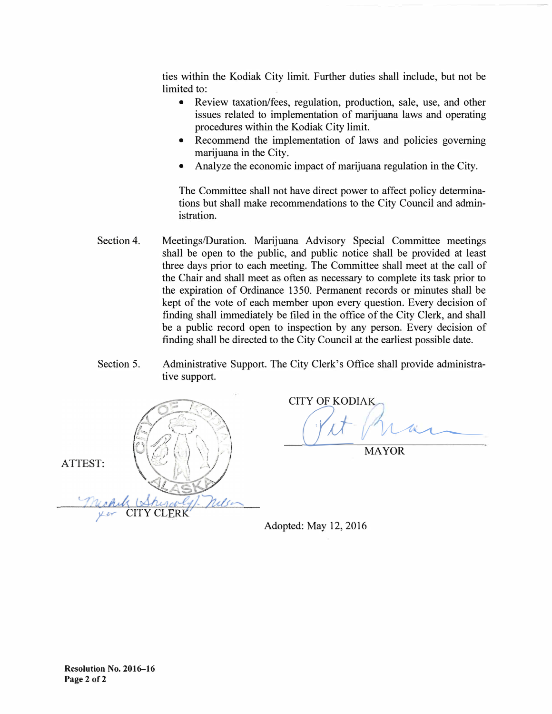ties within the Kodiak City limit. Further duties shall include, but not be limited to:

- Review taxation/fees, regulation, production, sale, use, and other issues related to implementation of marijuana laws and operating procedures within the Kodiak City limit.
- Recommend the implementation of laws and policies governing marijuana in the City.
- Analyze the economic impact of marijuana regulation in the City.

The Committee shall not have direct power to affect policy determinations but shall make recommendations to the City Council and administration.

- Section 4. Meetings/Duration. Marijuana Advisory Special Committee meetings shall be open to the public, and public notice shall be provided at least three days prior to each meeting. The Committee shall meet at the call of the Chair and shall meet as often as necessary to complete its task prior to the expiration of Ordinance 1350. Permanent records or minutes shall be kept of the vote of each member upon every question. Every decision of finding shall immediately be filed in the office of the City Clerk, and shall be a public record open to inspection by any person. Every decision of finding shall be directed to the City Council at the earliest possible date.
- Section 5. Administrative Support. The City Clerk's Office shall provide administrative support.



CITY OF KODIA <u>(fit Main)</u>

MAYOR

Adopted: May 12, 2016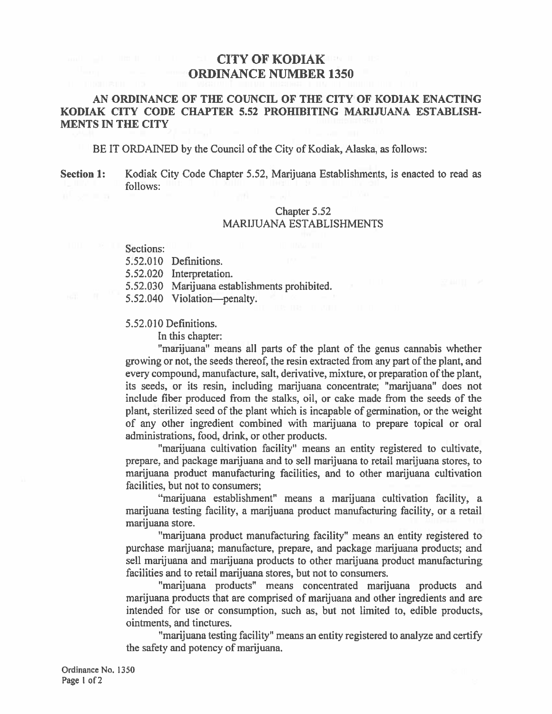# **CITY OF KODIAK THE ORDINANCE NUMBER 1350**

## AN ORDINANCE OF THE COUNCIL OF THE CITY OF KODIAK ENACTING KODIAK CITY CODE CHAPTER 5.52 PROHIBITING MARIJUANA ESTABLISH-**MENTS IN THE CITY**

BE IT ORDAINED by the Council of the City of Kodiak, Alaska, as follows:

**Section 1:** Kodiak City Code Chapter 5.52, Marijuana Establishments, is enacted to read as follows:

## Chapter 5.52 **MARIJUANA ESTABLISHMENTS**

Sections:

5.52.010 Definitions.

5.52.020 Interpretation.

5.52.030 Marijuana establishments prohibited.

5.52.040 Violation-penalty.

#### 5.52.010 Definitions.

In this chapter:

"marijuana" means all parts of the plant of the genus cannabis whether growing or not, the seeds thereof, the resin extracted from any part of the plant, and every compound, manufacture, salt, derivative, mixture, or preparation of the plant, its seeds, or its resin, including marijuana concentrate; "marijuana" does not include fiber produced from the stalks, oil, or cake made from the seeds of the plant, sterilized seed of the plant which is incapable of germination, or the weight of any other ingredient combined with marijuana to prepare topical or oral administrations, food, drink, or other products.

"marijuana cultivation facility" means an entity registered to cultivate, prepare, and package marijuana and to sell marijuana to retail marijuana stores, to marijuana product manufacturing facilities, and to other marijuana cultivation facilities, but not to consumers;

"marijuana establishment" means a marijuana cultivation facility, a marijuana testing facility, a marijuana product manufacturing facility, or a retail marijuana store.

"marijuana product manufacturing facility" means an entity registered to purchase marijuana; manufacture, prepare, and package marijuana products; and sell marijuana and marijuana products to other marijuana product manufacturing facilities and to retail marijuana stores, but not to consumers.

"marijuana products" means concentrated marijuana products and marijuana products that are comprised of marijuana and other ingredients and are intended for use or consumption, such as, but not limited to, edible products, ointments, and tinctures.

"marijuana testing facility" means an entity registered to analyze and certify the safety and potency of marijuana.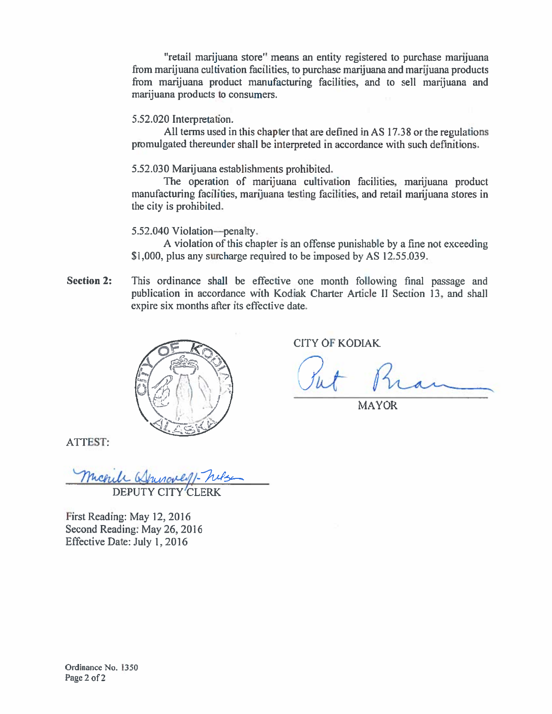"retail marijuana store" means an entity registered to purchase marijuana from marijuana cultivation facilities, to purchase marijuana and marijuana products from marijuana product manufacturing facilities, and to sell marijuana and marijuana products to consumers.

5.52.020 Interpretation.

All terms used in this chapter that are defined in AS 17.38 or the regulations promulgated thereunder shall be interpreted in accordance with such definitions.

5.52.030 Marijuana establishments prohibited.

The operation of marijuana cultivation facilities, marijuana product manufacturing facilities, marijuana testing facilities, and retail marijuana stores in the city is prohibited.

5.52.040 Violation-penalty.

A violation of this chapter is an offense punishable by a fine not exceeding \$1,000, plus any surcharge required to be imposed by AS 12.55.039.

**Section 2:** This ordinance shall be effective one month following final passage and publication in accordance with Kodiak Charter Article II Section 13, and shall expire six months after its effective date.



**CITY OF KODIAK** 

**MAYOR** 

**ATTEST:** 

Michell **DEPUT** 

First Reading: May 12, 2016 Second Reading: May 26, 2016 Effective Date: July 1, 2016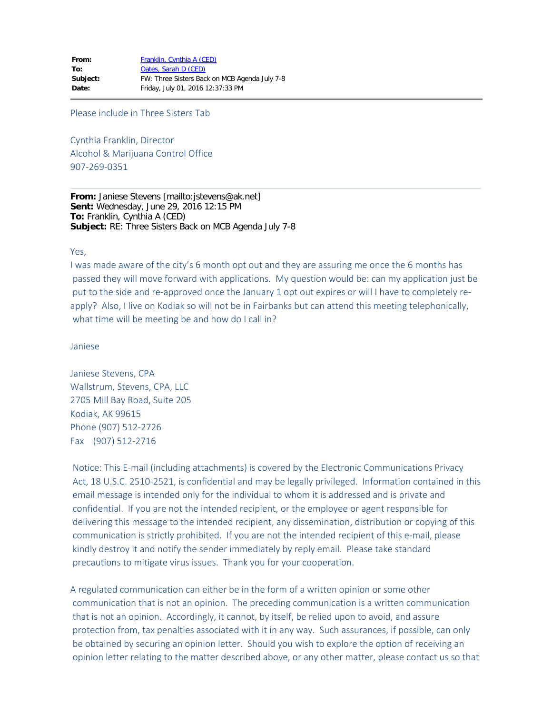Please include in Three Sisters Tab

Cynthia Franklin, Director Alcohol & Marijuana Control Office 907-269-0351

**From:** Janiese Stevens [mailto:jstevens@ak.net] **Sent:** Wednesday, June 29, 2016 12:15 PM **To:** Franklin, Cynthia A (CED) **Subject:** RE: Three Sisters Back on MCB Agenda July 7-8

Yes,

I was made aware of the city's 6 month opt out and they are assuring me once the 6 months has passed they will move forward with applications. My question would be: can my application just be put to the side and re-approved once the January 1 opt out expires or will I have to completely reapply? Also, I live on Kodiak so will not be in Fairbanks but can attend this meeting telephonically, what time will be meeting be and how do I call in?

Janiese

Janiese Stevens, CPA Wallstrum, Stevens, CPA, LLC 2705 Mill Bay Road, Suite 205 Kodiak, AK 99615 Phone (907) 512-2726 Fax (907) 512-2716

Notice: This E-mail (including attachments) is covered by the Electronic Communications Privacy Act, 18 U.S.C. 2510-2521, is confidential and may be legally privileged. Information contained in this email message is intended only for the individual to whom it is addressed and is private and confidential. If you are not the intended recipient, or the employee or agent responsible for delivering this message to the intended recipient, any dissemination, distribution or copying of this communication is strictly prohibited. If you are not the intended recipient of this e-mail, please kindly destroy it and notify the sender immediately by reply email. Please take standard precautions to mitigate virus issues. Thank you for your cooperation.

A regulated communication can either be in the form of a written opinion or some other communication that is not an opinion. The preceding communication is a written communication that is not an opinion. Accordingly, it cannot, by itself, be relied upon to avoid, and assure protection from, tax penalties associated with it in any way. Such assurances, if possible, can only be obtained by securing an opinion letter. Should you wish to explore the option of receiving an opinion letter relating to the matter described above, or any other matter, please contact us so that